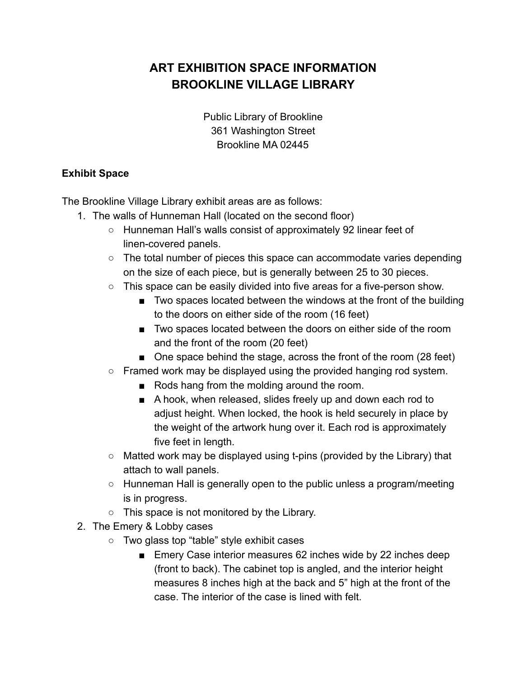## **ART EXHIBITION SPACE INFORMATION BROOKLINE VILLAGE LIBRARY**

Public Library of Brookline 361 Washington Street Brookline MA 02445

## **Exhibit Space**

The Brookline Village Library exhibit areas are as follows:

- 1. The walls of Hunneman Hall (located on the second floor)
	- Hunneman Hall's walls consist of approximately 92 linear feet of linen-covered panels.
	- $\circ$  The total number of pieces this space can accommodate varies depending on the size of each piece, but is generally between 25 to 30 pieces.
	- $\circ$  This space can be easily divided into five areas for a five-person show.
		- Two spaces located between the windows at the front of the building to the doors on either side of the room (16 feet)
		- Two spaces located between the doors on either side of the room and the front of the room (20 feet)
		- One space behind the stage, across the front of the room (28 feet)
	- Framed work may be displayed using the provided hanging rod system.
		- Rods hang from the molding around the room.
		- A hook, when released, slides freely up and down each rod to adjust height. When locked, the hook is held securely in place by the weight of the artwork hung over it. Each rod is approximately five feet in length.
	- Matted work may be displayed using t-pins (provided by the Library) that attach to wall panels.
	- Hunneman Hall is generally open to the public unless a program/meeting is in progress.
	- This space is not monitored by the Library.
- 2. The Emery & Lobby cases
	- Two glass top "table" style exhibit cases
		- Emery Case interior measures 62 inches wide by 22 inches deep (front to back). The cabinet top is angled, and the interior height measures 8 inches high at the back and 5" high at the front of the case. The interior of the case is lined with felt.